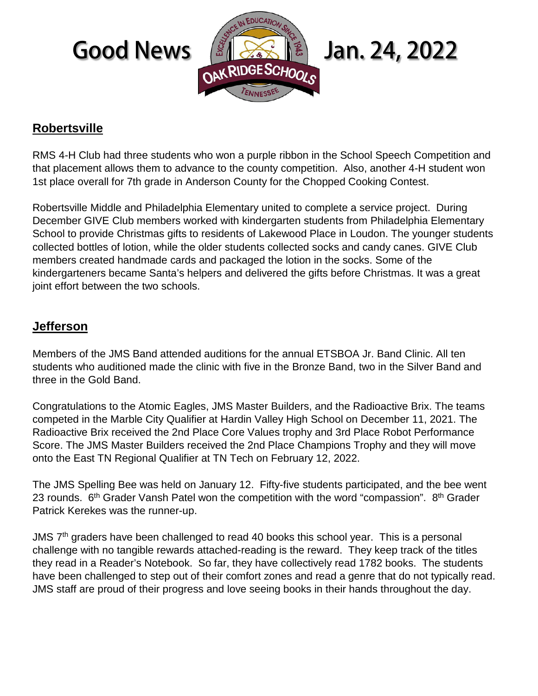

# **Robertsville**

RMS 4-H Club had three students who won a purple ribbon in the School Speech Competition and that placement allows them to advance to the county competition. Also, another 4-H student won 1st place overall for 7th grade in Anderson County for the Chopped Cooking Contest.

Robertsville Middle and Philadelphia Elementary united to complete a service project. During December GIVE Club members worked with kindergarten students from Philadelphia Elementary School to provide Christmas gifts to residents of Lakewood Place in Loudon. The younger students collected bottles of lotion, while the older students collected socks and candy canes. GIVE Club members created handmade cards and packaged the lotion in the socks. Some of the kindergarteners became Santa's helpers and delivered the gifts before Christmas. It was a great joint effort between the two schools.

### **Jefferson**

Members of the JMS Band attended auditions for the annual ETSBOA Jr. Band Clinic. All ten students who auditioned made the clinic with five in the Bronze Band, two in the Silver Band and three in the Gold Band.

Congratulations to the Atomic Eagles, JMS Master Builders, and the Radioactive Brix. The teams competed in the Marble City Qualifier at Hardin Valley High School on December 11, 2021. The Radioactive Brix received the 2nd Place Core Values trophy and 3rd Place Robot Performance Score. The JMS Master Builders received the 2nd Place Champions Trophy and they will move onto the East TN Regional Qualifier at TN Tech on February 12, 2022.

The JMS Spelling Bee was held on January 12. Fifty-five students participated, and the bee went 23 rounds.  $6<sup>th</sup>$  Grader Vansh Patel won the competition with the word "compassion".  $8<sup>th</sup>$  Grader Patrick Kerekes was the runner-up.

JMS  $7<sup>th</sup>$  graders have been challenged to read 40 books this school year. This is a personal challenge with no tangible rewards attached-reading is the reward. They keep track of the titles they read in a Reader's Notebook. So far, they have collectively read 1782 books. The students have been challenged to step out of their comfort zones and read a genre that do not typically read. JMS staff are proud of their progress and love seeing books in their hands throughout the day.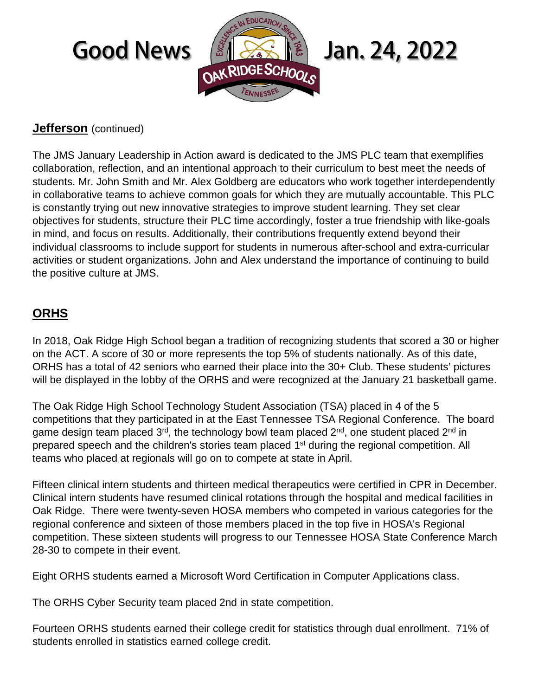# EDUCATION Good News  $\frac{12}{SNRDOESCHOO}$  Jan. 24, 2022

## **Jefferson** (continued)

The JMS January Leadership in Action award is dedicated to the JMS PLC team that exemplifies collaboration, reflection, and an intentional approach to their curriculum to best meet the needs of students. Mr. John Smith and Mr. Alex Goldberg are educators who work together interdependently in collaborative teams to achieve common goals for which they are mutually accountable. This PLC is constantly trying out new innovative strategies to improve student learning. They set clear objectives for students, structure their PLC time accordingly, foster a true friendship with like-goals in mind, and focus on results. Additionally, their contributions frequently extend beyond their individual classrooms to include support for students in numerous after-school and extra-curricular activities or student organizations. John and Alex understand the importance of continuing to build the positive culture at JMS.

# **ORHS**

In 2018, Oak Ridge High School began a tradition of recognizing students that scored a 30 or higher on the ACT. A score of 30 or more represents the top 5% of students nationally. As of this date, ORHS has a total of 42 seniors who earned their place into the 30+ Club. These students' pictures will be displayed in the lobby of the ORHS and were recognized at the January 21 basketball game.

The Oak Ridge High School Technology Student Association (TSA) placed in 4 of the 5 competitions that they participated in at the East Tennessee TSA Regional Conference. The board game design team placed  $3^{rd}$ , the technology bowl team placed  $2^{nd}$ , one student placed  $2^{nd}$  in prepared speech and the children's stories team placed 1<sup>st</sup> during the regional competition. All teams who placed at regionals will go on to compete at state in April.

Fifteen clinical intern students and thirteen medical therapeutics were certified in CPR in December. Clinical intern students have resumed clinical rotations through the hospital and medical facilities in Oak Ridge. There were twenty-seven HOSA members who competed in various categories for the regional conference and sixteen of those members placed in the top five in HOSA's Regional competition. These sixteen students will progress to our Tennessee HOSA State Conference March 28-30 to compete in their event.

Eight ORHS students earned a Microsoft Word Certification in Computer Applications class.

The ORHS Cyber Security team placed 2nd in state competition.

Fourteen ORHS students earned their college credit for statistics through dual enrollment. 71% of students enrolled in statistics earned college credit.